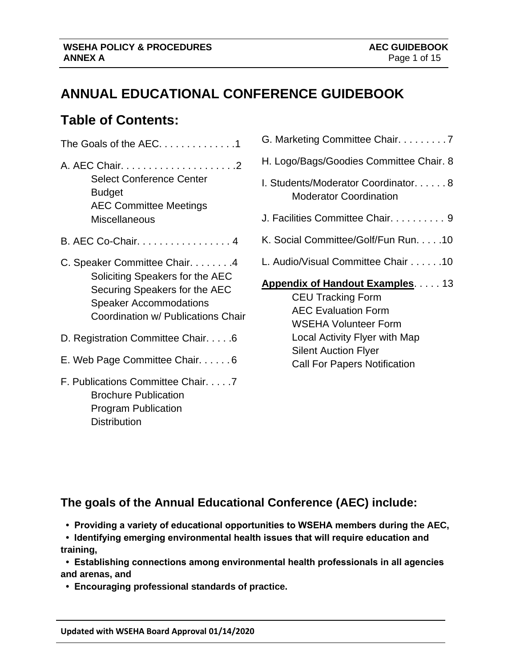## **ANNUAL EDUCATIONAL CONFERENCE GUIDEBOOK**

## **Table of Contents:**

I

| The Goals of the AEC1                                                                                                                                                    |
|--------------------------------------------------------------------------------------------------------------------------------------------------------------------------|
| <b>Select Conference Center</b><br>Budget<br><b>AEC Committee Meetings</b><br><b>Miscellaneous</b>                                                                       |
| B. AEC Co-Chair. 4                                                                                                                                                       |
| C. Speaker Committee Chair. 4<br>Soliciting Speakers for the AEC<br>Securing Speakers for the AEC<br><b>Speaker Accommodations</b><br>Coordination w/ Publications Chair |
| D. Registration Committee Chair. 6                                                                                                                                       |
| E. Web Page Committee Chair. 6                                                                                                                                           |
| F. Publications Committee Chair. 7<br><b>Brochure Publication</b>                                                                                                        |

Program Publication

**Distribution** 

| G. Marketing Committee Chair. 7                                                                                                                                                                                                       |
|---------------------------------------------------------------------------------------------------------------------------------------------------------------------------------------------------------------------------------------|
| H. Logo/Bags/Goodies Committee Chair. 8                                                                                                                                                                                               |
| I. Students/Moderator Coordinator8<br>Moderator Coordination                                                                                                                                                                          |
| J. Facilities Committee Chair. 9                                                                                                                                                                                                      |
| K. Social Committee/Golf/Fun Run. 10                                                                                                                                                                                                  |
| L. Audio/Visual Committee Chair 10                                                                                                                                                                                                    |
| <b>Appendix of Handout Examples13</b><br><b>CEU Tracking Form</b><br><b>AEC Evaluation Form</b><br><b>WSEHA Volunteer Form</b><br>Local Activity Flyer with Map<br><b>Silent Auction Flyer</b><br><b>Call For Papers Notification</b> |

## **The goals of the Annual Educational Conference (AEC) include:**

- **Providing a variety of educational opportunities to WSEHA members during the AEC,**
- **Identifying emerging environmental health issues that will require education and training,**

 **• Establishing connections among environmental health professionals in all agencies and arenas, and** 

 **• Encouraging professional standards of practice.**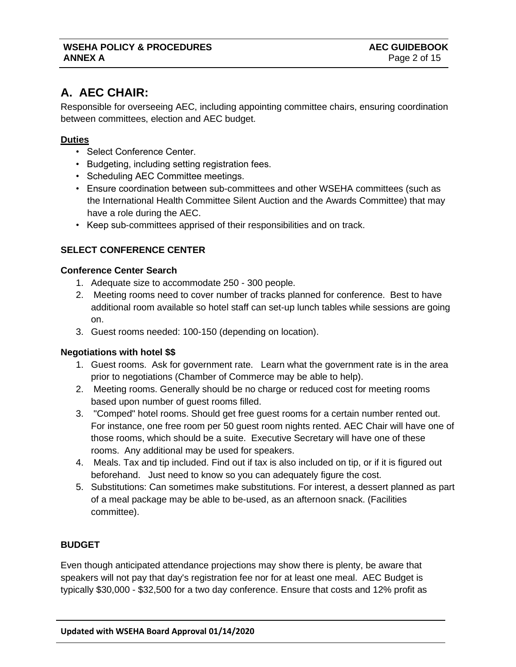## **A. AEC CHAIR:**

Responsible for overseeing AEC, including appointing committee chairs, ensuring coordination between committees, election and AEC budget.

## **Duties**

I

- Select Conference Center.
- Budgeting, including setting registration fees.
- Scheduling AEC Committee meetings.
- Ensure coordination between sub-committees and other WSEHA committees (such as the International Health Committee Silent Auction and the Awards Committee) that may have a role during the AEC.
- Keep sub-committees apprised of their responsibilities and on track.

## **SELECT CONFERENCE CENTER**

## **Conference Center Search**

- 1. Adequate size to accommodate 250 300 people.
- 2. Meeting rooms need to cover number of tracks planned for conference. Best to have additional room available so hotel staff can set-up lunch tables while sessions are going on.
- 3. Guest rooms needed: 100-150 (depending on location).

## **Negotiations with hotel \$\$**

- 1. Guest rooms. Ask for government rate. Learn what the government rate is in the area prior to negotiations (Chamber of Commerce may be able to help).
- 2. Meeting rooms. Generally should be no charge or reduced cost for meeting rooms based upon number of guest rooms filled.
- 3. "Comped" hotel rooms. Should get free guest rooms for a certain number rented out. For instance, one free room per 50 guest room nights rented. AEC Chair will have one of those rooms, which should be a suite. Executive Secretary will have one of these rooms. Any additional may be used for speakers.
- 4. Meals. Tax and tip included. Find out if tax is also included on tip, or if it is figured out beforehand. Just need to know so you can adequately figure the cost.
- 5. Substitutions: Can sometimes make substitutions. For interest, a dessert planned as part of a meal package may be able to be-used, as an afternoon snack. (Facilities committee).

## **BUDGET**

Even though anticipated attendance projections may show there is plenty, be aware that speakers will not pay that day's registration fee nor for at least one meal. AEC Budget is typically \$30,000 - \$32,500 for a two day conference. Ensure that costs and 12% profit as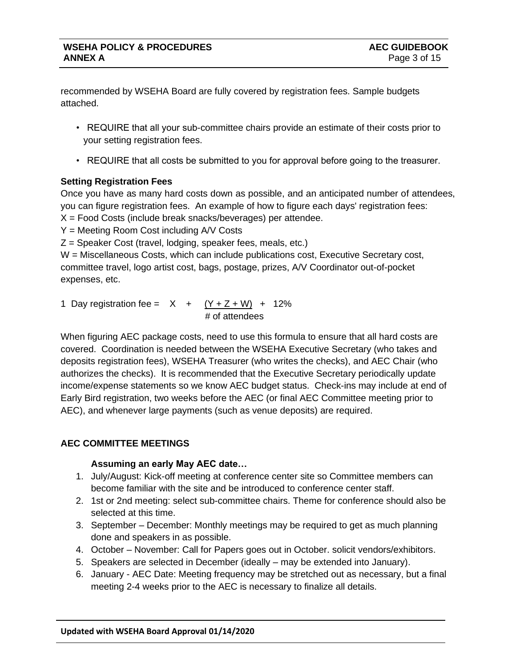recommended by WSEHA Board are fully covered by registration fees. Sample budgets attached.

- REQUIRE that all your sub-committee chairs provide an estimate of their costs prior to your setting registration fees.
- REQUIRE that all costs be submitted to you for approval before going to the treasurer.

## **Setting Registration Fees**

I

Once you have as many hard costs down as possible, and an anticipated number of attendees, you can figure registration fees. An example of how to figure each days' registration fees: X = Food Costs (include break snacks/beverages) per attendee.

Y = Meeting Room Cost including A/V Costs

Z = Speaker Cost (travel, lodging, speaker fees, meals, etc.)

W = Miscellaneous Costs, which can include publications cost, Executive Secretary cost, committee travel, logo artist cost, bags, postage, prizes, A/V Coordinator out-of-pocket expenses, etc.

1 Day registration fee =  $X + (Y + Z + W) + 12\%$ # of attendees

When figuring AEC package costs, need to use this formula to ensure that all hard costs are covered. Coordination is needed between the WSEHA Executive Secretary (who takes and deposits registration fees), WSEHA Treasurer (who writes the checks), and AEC Chair (who authorizes the checks). It is recommended that the Executive Secretary periodically update income/expense statements so we know AEC budget status. Check-ins may include at end of Early Bird registration, two weeks before the AEC (or final AEC Committee meeting prior to AEC), and whenever large payments (such as venue deposits) are required.

## **AEC COMMITTEE MEETINGS**

## **Assuming an early May AEC date…**

- 1. July/August: Kick-off meeting at conference center site so Committee members can become familiar with the site and be introduced to conference center staff.
- 2. 1st or 2nd meeting: select sub-committee chairs. Theme for conference should also be selected at this time.
- 3. September December: Monthly meetings may be required to get as much planning done and speakers in as possible.
- 4. October November: Call for Papers goes out in October. solicit vendors/exhibitors.
- 5. Speakers are selected in December (ideally may be extended into January).
- 6. January AEC Date: Meeting frequency may be stretched out as necessary, but a final meeting 2-4 weeks prior to the AEC is necessary to finalize all details.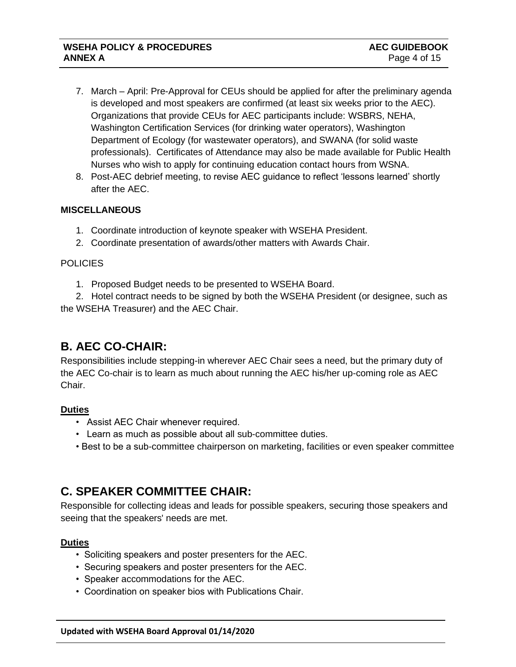- 7. March April: Pre-Approval for CEUs should be applied for after the preliminary agenda is developed and most speakers are confirmed (at least six weeks prior to the AEC). Organizations that provide CEUs for AEC participants include: WSBRS, NEHA, Washington Certification Services (for drinking water operators), Washington Department of Ecology (for wastewater operators), and SWANA (for solid waste professionals). Certificates of Attendance may also be made available for Public Health Nurses who wish to apply for continuing education contact hours from WSNA.
- 8. Post-AEC debrief meeting, to revise AEC guidance to reflect 'lessons learned' shortly after the AEC.

## **MISCELLANEOUS**

- 1. Coordinate introduction of keynote speaker with WSEHA President.
- 2. Coordinate presentation of awards/other matters with Awards Chair.

### **POLICIES**

I

1. Proposed Budget needs to be presented to WSEHA Board.

2. Hotel contract needs to be signed by both the WSEHA President (or designee, such as the WSEHA Treasurer) and the AEC Chair.

## **B. AEC CO-CHAIR:**

Responsibilities include stepping-in wherever AEC Chair sees a need, but the primary duty of the AEC Co-chair is to learn as much about running the AEC his/her up-coming role as AEC Chair.

## **Duties**

- Assist AEC Chair whenever required.
- Learn as much as possible about all sub-committee duties.
- Best to be a sub-committee chairperson on marketing, facilities or even speaker committee

## **C. SPEAKER COMMITTEE CHAIR:**

Responsible for collecting ideas and leads for possible speakers, securing those speakers and seeing that the speakers' needs are met.

## **Duties**

- Soliciting speakers and poster presenters for the AEC.
- Securing speakers and poster presenters for the AEC.
- Speaker accommodations for the AEC.
- Coordination on speaker bios with Publications Chair.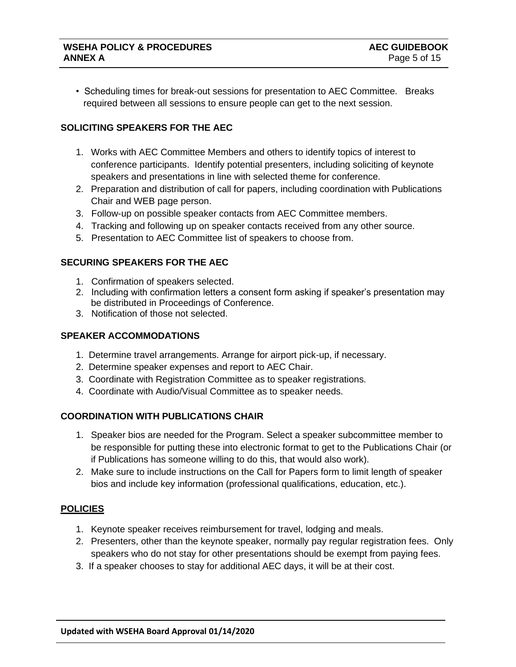I

• Scheduling times for break-out sessions for presentation to AEC Committee. Breaks required between all sessions to ensure people can get to the next session.

## **SOLICITING SPEAKERS FOR THE AEC**

- 1. Works with AEC Committee Members and others to identify topics of interest to conference participants. Identify potential presenters, including soliciting of keynote speakers and presentations in line with selected theme for conference.
- 2. Preparation and distribution of call for papers, including coordination with Publications Chair and WEB page person.
- 3. Follow-up on possible speaker contacts from AEC Committee members.
- 4. Tracking and following up on speaker contacts received from any other source.
- 5. Presentation to AEC Committee list of speakers to choose from.

## **SECURING SPEAKERS FOR THE AEC**

- 1. Confirmation of speakers selected.
- 2. Including with confirmation letters a consent form asking if speaker's presentation may be distributed in Proceedings of Conference.
- 3. Notification of those not selected.

### **SPEAKER ACCOMMODATIONS**

- 1. Determine travel arrangements. Arrange for airport pick-up, if necessary.
- 2. Determine speaker expenses and report to AEC Chair.
- 3. Coordinate with Registration Committee as to speaker registrations.
- 4. Coordinate with Audio/Visual Committee as to speaker needs.

### **COORDINATION WITH PUBLICATIONS CHAIR**

- 1. Speaker bios are needed for the Program. Select a speaker subcommittee member to be responsible for putting these into electronic format to get to the Publications Chair (or if Publications has someone willing to do this, that would also work).
- 2. Make sure to include instructions on the Call for Papers form to limit length of speaker bios and include key information (professional qualifications, education, etc.).

### **POLICIES**

- 1. Keynote speaker receives reimbursement for travel, lodging and meals.
- 2. Presenters, other than the keynote speaker, normally pay regular registration fees. Only speakers who do not stay for other presentations should be exempt from paying fees.
- 3. If a speaker chooses to stay for additional AEC days, it will be at their cost.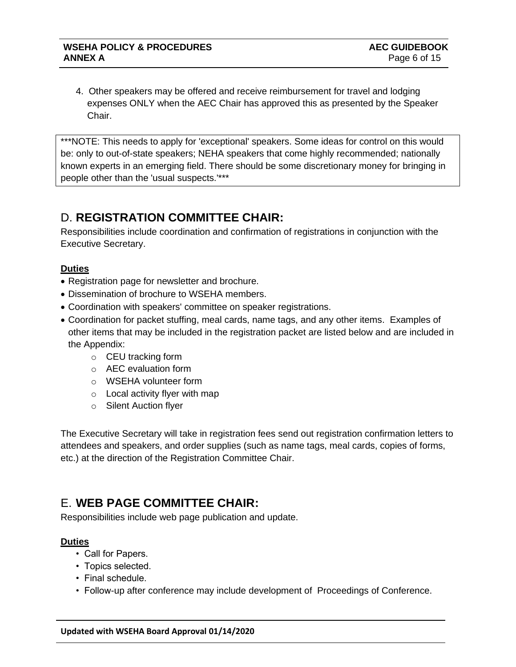4. Other speakers may be offered and receive reimbursement for travel and lodging expenses ONLY when the AEC Chair has approved this as presented by the Speaker Chair.

\*\*\*NOTE: This needs to apply for 'exceptional' speakers. Some ideas for control on this would be: only to out-of-state speakers; NEHA speakers that come highly recommended; nationally known experts in an emerging field. There should be some discretionary money for bringing in people other than the 'usual suspects.'\*\*\*

## D. **REGISTRATION COMMITTEE CHAIR:**

Responsibilities include coordination and confirmation of registrations in conjunction with the Executive Secretary.

## **Duties**

I

- Registration page for newsletter and brochure.
- Dissemination of brochure to WSEHA members.
- Coordination with speakers' committee on speaker registrations.
- Coordination for packet stuffing, meal cards, name tags, and any other items. Examples of other items that may be included in the registration packet are listed below and are included in the Appendix:
	- o CEU tracking form
	- o AEC evaluation form
	- o WSEHA volunteer form
	- o Local activity flyer with map
	- o Silent Auction flyer

The Executive Secretary will take in registration fees send out registration confirmation letters to attendees and speakers, and order supplies (such as name tags, meal cards, copies of forms, etc.) at the direction of the Registration Committee Chair.

## E. **WEB PAGE COMMITTEE CHAIR:**

Responsibilities include web page publication and update.

## **Duties**

- Call for Papers.
- Topics selected.
- Final schedule.
- Follow-up after conference may include development of Proceedings of Conference.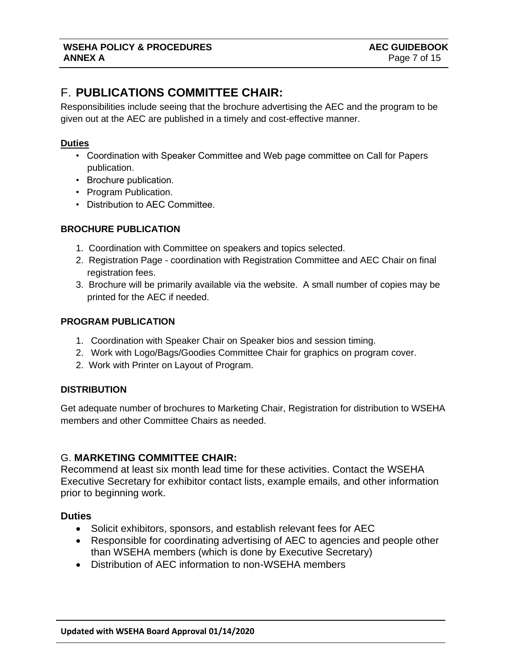## F. **PUBLICATIONS COMMITTEE CHAIR:**

Responsibilities include seeing that the brochure advertising the AEC and the program to be given out at the AEC are published in a timely and cost-effective manner.

## **Duties**

I

- Coordination with Speaker Committee and Web page committee on Call for Papers publication.
- Brochure publication.
- Program Publication.
- Distribution to AEC Committee.

## **BROCHURE PUBLICATION**

- 1. Coordination with Committee on speakers and topics selected.
- 2. Registration Page coordination with Registration Committee and AEC Chair on final registration fees.
- 3. Brochure will be primarily available via the website. A small number of copies may be printed for the AEC if needed.

## **PROGRAM PUBLICATION**

- 1. Coordination with Speaker Chair on Speaker bios and session timing.
- 2. Work with Logo/Bags/Goodies Committee Chair for graphics on program cover.
- 2. Work with Printer on Layout of Program.

### **DISTRIBUTION**

Get adequate number of brochures to Marketing Chair, Registration for distribution to WSEHA members and other Committee Chairs as needed.

## G. **MARKETING COMMITTEE CHAIR:**

Recommend at least six month lead time for these activities. Contact the WSEHA Executive Secretary for exhibitor contact lists, example emails, and other information prior to beginning work.

### **Duties**

- Solicit exhibitors, sponsors, and establish relevant fees for AEC
- Responsible for coordinating advertising of AEC to agencies and people other than WSEHA members (which is done by Executive Secretary)
- Distribution of AEC information to non-WSEHA members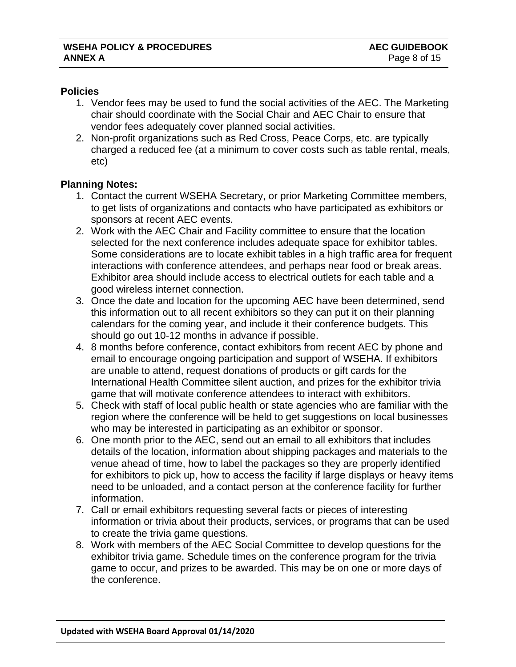## **Policies**

I

- 1. Vendor fees may be used to fund the social activities of the AEC. The Marketing chair should coordinate with the Social Chair and AEC Chair to ensure that vendor fees adequately cover planned social activities.
- 2. Non-profit organizations such as Red Cross, Peace Corps, etc. are typically charged a reduced fee (at a minimum to cover costs such as table rental, meals, etc)

## **Planning Notes:**

- 1. Contact the current WSEHA Secretary, or prior Marketing Committee members, to get lists of organizations and contacts who have participated as exhibitors or sponsors at recent AEC events.
- 2. Work with the AEC Chair and Facility committee to ensure that the location selected for the next conference includes adequate space for exhibitor tables. Some considerations are to locate exhibit tables in a high traffic area for frequent interactions with conference attendees, and perhaps near food or break areas. Exhibitor area should include access to electrical outlets for each table and a good wireless internet connection.
- 3. Once the date and location for the upcoming AEC have been determined, send this information out to all recent exhibitors so they can put it on their planning calendars for the coming year, and include it their conference budgets. This should go out 10-12 months in advance if possible.
- 4. 8 months before conference, contact exhibitors from recent AEC by phone and email to encourage ongoing participation and support of WSEHA. If exhibitors are unable to attend, request donations of products or gift cards for the International Health Committee silent auction, and prizes for the exhibitor trivia game that will motivate conference attendees to interact with exhibitors.
- 5. Check with staff of local public health or state agencies who are familiar with the region where the conference will be held to get suggestions on local businesses who may be interested in participating as an exhibitor or sponsor.
- 6. One month prior to the AEC, send out an email to all exhibitors that includes details of the location, information about shipping packages and materials to the venue ahead of time, how to label the packages so they are properly identified for exhibitors to pick up, how to access the facility if large displays or heavy items need to be unloaded, and a contact person at the conference facility for further information.
- 7. Call or email exhibitors requesting several facts or pieces of interesting information or trivia about their products, services, or programs that can be used to create the trivia game questions.
- 8. Work with members of the AEC Social Committee to develop questions for the exhibitor trivia game. Schedule times on the conference program for the trivia game to occur, and prizes to be awarded. This may be on one or more days of the conference.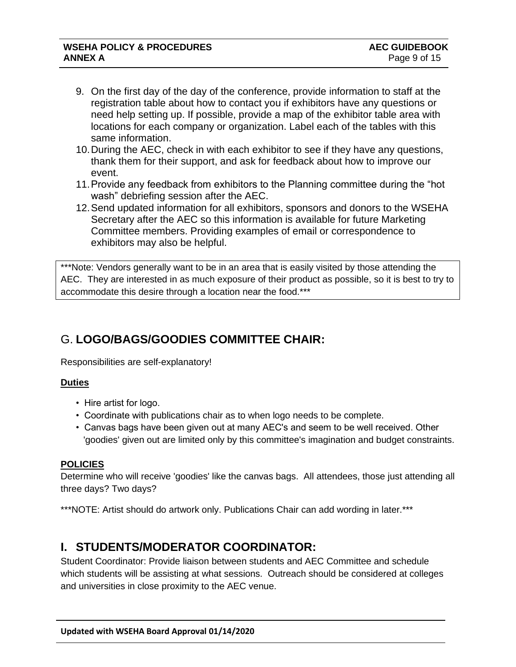- 9. On the first day of the day of the conference, provide information to staff at the registration table about how to contact you if exhibitors have any questions or need help setting up. If possible, provide a map of the exhibitor table area with locations for each company or organization. Label each of the tables with this same information.
- 10.During the AEC, check in with each exhibitor to see if they have any questions, thank them for their support, and ask for feedback about how to improve our event.
- 11.Provide any feedback from exhibitors to the Planning committee during the "hot wash" debriefing session after the AEC.
- 12.Send updated information for all exhibitors, sponsors and donors to the WSEHA Secretary after the AEC so this information is available for future Marketing Committee members. Providing examples of email or correspondence to exhibitors may also be helpful.

\*\*\*Note: Vendors generally want to be in an area that is easily visited by those attending the AEC. They are interested in as much exposure of their product as possible, so it is best to try to accommodate this desire through a location near the food.\*\*\*

## G. **LOGO/BAGS/GOODIES COMMITTEE CHAIR:**

Responsibilities are self-explanatory!

## **Duties**

I

- Hire artist for logo.
- Coordinate with publications chair as to when logo needs to be complete.
- Canvas bags have been given out at many AEC's and seem to be well received. Other 'goodies' given out are limited only by this committee's imagination and budget constraints.

## **POLICIES**

Determine who will receive 'goodies' like the canvas bags. All attendees, those just attending all three days? Two days?

\*\*\*NOTE: Artist should do artwork only. Publications Chair can add wording in later.\*\*\*

## **I. STUDENTS/MODERATOR COORDINATOR:**

Student Coordinator: Provide liaison between students and AEC Committee and schedule which students will be assisting at what sessions. Outreach should be considered at colleges and universities in close proximity to the AEC venue.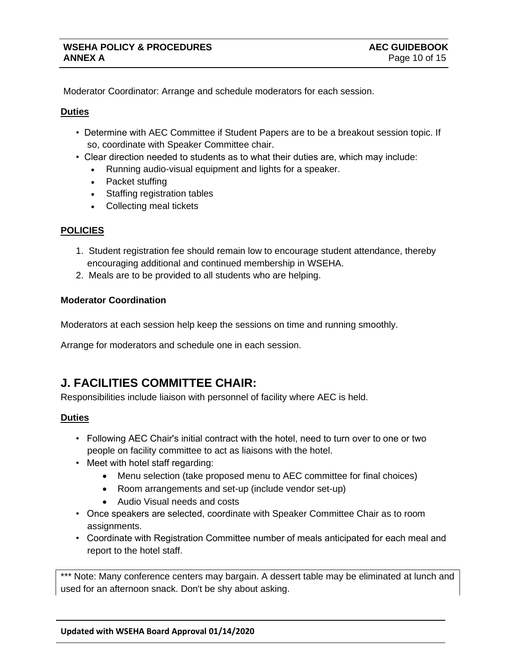Moderator Coordinator: Arrange and schedule moderators for each session.

#### **Duties**

I

- Determine with AEC Committee if Student Papers are to be a breakout session topic. If so, coordinate with Speaker Committee chair.
- Clear direction needed to students as to what their duties are, which may include:
	- Running audio-visual equipment and lights for a speaker.
	- Packet stuffing
	- Staffing registration tables
	- Collecting meal tickets

## **POLICIES**

- 1. Student registration fee should remain low to encourage student attendance, thereby encouraging additional and continued membership in WSEHA.
- 2. Meals are to be provided to all students who are helping.

### **Moderator Coordination**

Moderators at each session help keep the sessions on time and running smoothly.

Arrange for moderators and schedule one in each session.

## **J. FACILITIES COMMITTEE CHAIR:**

Responsibilities include liaison with personnel of facility where AEC is held.

### **Duties**

- Following AEC Chair's initial contract with the hotel, need to turn over to one or two people on facility committee to act as liaisons with the hotel.
- Meet with hotel staff regarding:
	- Menu selection (take proposed menu to AEC committee for final choices)
	- Room arrangements and set-up (include vendor set-up)
	- Audio Visual needs and costs
- Once speakers are selected, coordinate with Speaker Committee Chair as to room assignments.
- Coordinate with Registration Committee number of meals anticipated for each meal and report to the hotel staff.

\*\*\* Note: Many conference centers may bargain. A dessert table may be eliminated at lunch and used for an afternoon snack. Don't be shy about asking.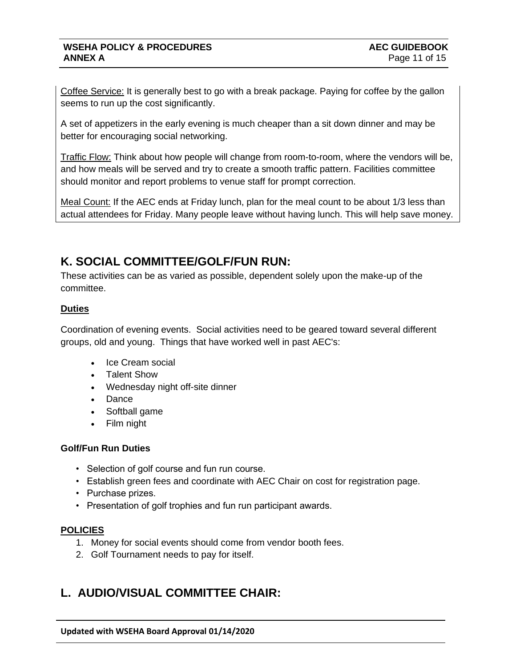Coffee Service: It is generally best to go with a break package. Paying for coffee by the gallon seems to run up the cost significantly.

A set of appetizers in the early evening is much cheaper than a sit down dinner and may be better for encouraging social networking.

Traffic Flow: Think about how people will change from room-to-room, where the vendors will be, and how meals will be served and try to create a smooth traffic pattern. Facilities committee should monitor and report problems to venue staff for prompt correction.

Meal Count: If the AEC ends at Friday lunch, plan for the meal count to be about 1/3 less than actual attendees for Friday. Many people leave without having lunch. This will help save money.

## **K. SOCIAL COMMITTEE/GOLF/FUN RUN:**

These activities can be as varied as possible, dependent solely upon the make-up of the committee.

## **Duties**

I

Coordination of evening events. Social activities need to be geared toward several different groups, old and young. Things that have worked well in past AEC's:

- Ice Cream social
- Talent Show
- Wednesday night off-site dinner
- Dance
- Softball game
- Film night

## **Golf/Fun Run Duties**

- Selection of golf course and fun run course.
- Establish green fees and coordinate with AEC Chair on cost for registration page.
- Purchase prizes.
- Presentation of golf trophies and fun run participant awards.

## **POLICIES**

- 1. Money for social events should come from vendor booth fees.
- 2. Golf Tournament needs to pay for itself.

## **L. AUDIO/VISUAL COMMITTEE CHAIR:**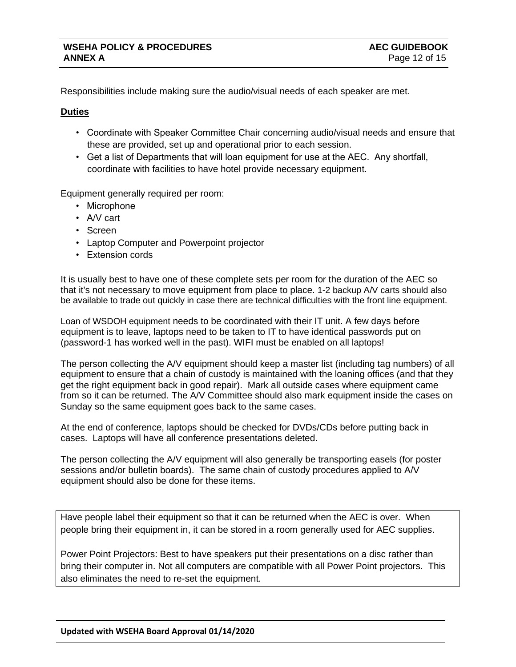Responsibilities include making sure the audio/visual needs of each speaker are met.

#### **Duties**

I

- Coordinate with Speaker Committee Chair concerning audio/visual needs and ensure that these are provided, set up and operational prior to each session.
- Get a list of Departments that will loan equipment for use at the AEC. Any shortfall, coordinate with facilities to have hotel provide necessary equipment.

Equipment generally required per room:

- Microphone
- A/V cart
- Screen
- Laptop Computer and Powerpoint projector
- Extension cords

It is usually best to have one of these complete sets per room for the duration of the AEC so that it's not necessary to move equipment from place to place. 1-2 backup A/V carts should also be available to trade out quickly in case there are technical difficulties with the front line equipment.

Loan of WSDOH equipment needs to be coordinated with their IT unit. A few days before equipment is to leave, laptops need to be taken to IT to have identical passwords put on (password-1 has worked well in the past). WIFI must be enabled on all laptops!

The person collecting the A/V equipment should keep a master list (including tag numbers) of all equipment to ensure that a chain of custody is maintained with the loaning offices (and that they get the right equipment back in good repair). Mark all outside cases where equipment came from so it can be returned. The A/V Committee should also mark equipment inside the cases on Sunday so the same equipment goes back to the same cases.

At the end of conference, laptops should be checked for DVDs/CDs before putting back in cases. Laptops will have all conference presentations deleted.

The person collecting the A/V equipment will also generally be transporting easels (for poster sessions and/or bulletin boards). The same chain of custody procedures applied to A/V equipment should also be done for these items.

Have people label their equipment so that it can be returned when the AEC is over. When people bring their equipment in, it can be stored in a room generally used for AEC supplies.

Power Point Projectors: Best to have speakers put their presentations on a disc rather than bring their computer in. Not all computers are compatible with all Power Point projectors. This also eliminates the need to re-set the equipment.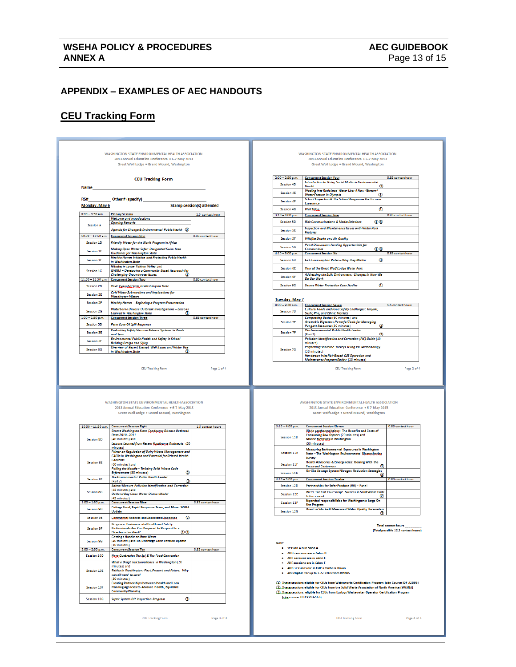# **WSEHA POLICY & PROCEDURES**<br>**ANNEX A**<br>Page 13 of 15

#### **APPENDIX – EXAMPLES OF AEC HANDOUTS**

**Updated with WSEHA Board Approval 01/14/2020**

## **CEU Tracking Form**

I

|                                                       | Great Wolf Lodge . Grand Mound, Washington                                                                 |                                  |                                        |                                                                                                                                                                                                      |                                     |
|-------------------------------------------------------|------------------------------------------------------------------------------------------------------------|----------------------------------|----------------------------------------|------------------------------------------------------------------------------------------------------------------------------------------------------------------------------------------------------|-------------------------------------|
|                                                       | <b>CEU Tracking Form</b>                                                                                   |                                  | $2:00 - 2:50$ p.m.                     | <b>Concurrent Session Four</b><br>Introduction to Using Social Media in Environmental                                                                                                                | 0.83 contact hour                   |
| Name_                                                 |                                                                                                            |                                  | Session 4D                             | Health<br>Wading into Reclaimed Water Use: A New "Stream"                                                                                                                                            |                                     |
|                                                       |                                                                                                            |                                  | <b>Session 4E</b>                      | ۷<br><b>Water Feature in Olympia</b>                                                                                                                                                                 |                                     |
| RS#                                                   | Other # (specify) __                                                                                       |                                  | <b>Session 4F</b>                      | School Inspection & The School Program - the Tacoma<br><b>Experience</b>                                                                                                                             |                                     |
| Monday, May 6                                         |                                                                                                            | <b>Stamp session(s) attended</b> | Session 4G                             | <b>Well Siting.</b><br>⊕                                                                                                                                                                             |                                     |
| 8:00 - 9:30 a.m.                                      | <b>Plenary Session</b><br><b>Welcome and Introductions</b>                                                 | 1.0 contact hour                 | $3:10 - 4:00$ p.m.                     | <b>Concurrent Session Five</b>                                                                                                                                                                       | 0.83 contact hour                   |
| <b>Session A</b>                                      | <b>Opening Remarks</b>                                                                                     |                                  | Session 5D                             | <b>Risk Communications &amp; Media Relations</b><br>മര                                                                                                                                               |                                     |
|                                                       | Agenda for Change & Environmental Public Health 3                                                          |                                  | Session SE                             | Inspection and Maintenance Issues with Water Park<br>Features                                                                                                                                        |                                     |
| 10:00 - 10:50 a.m.                                    | <b>Concurrent Session One</b>                                                                              | 0.83 contact hour                | <b>Session 5F</b>                      | <b>Wildfire Smoke and Air Quality</b>                                                                                                                                                                |                                     |
| Session 1D                                            | Friendly Water for the World Program in Africa                                                             |                                  |                                        | <b>Panel Discussion: Funding Opportunities for</b>                                                                                                                                                   |                                     |
| Session 1E                                            | Making Open Water Safer: Designated Swim Area<br><b>Guidelines for Washington State</b>                    |                                  | <b>Session 5G</b><br>$440 - 5:00$ p.m. | ೲ<br><b>Communities</b><br><b>Concurrent Session Six</b>                                                                                                                                             | 0.83 contact hour                   |
| Session 1F                                            | <b>Healthy Homes Initiative and Protecting Public Health</b>                                               |                                  | Session 6D                             | Fish Consumption Rates - Why They Matter<br>◉                                                                                                                                                        |                                     |
|                                                       | in Washington State<br>Nitrates in Lower Yakima Valley and                                                 |                                  |                                        |                                                                                                                                                                                                      |                                     |
| Session 1G                                            | GWMA - Developing a Community Based Approach for<br><b>Challenging Groundwater Issues</b>                  |                                  | Session 6E                             | Tour of the Great Wolf Lodge Water Park<br>Addressing the Built Environment: Changes in How We                                                                                                       |                                     |
| $11.00 - 11.50$ a.m.                                  | <b>Concurrent Session Two</b>                                                                              | 0.83 contact hour                | Session 6F                             | Do Our Work                                                                                                                                                                                          |                                     |
| Session 2D                                            | Toxic Cyanobacteria in Washington State                                                                    |                                  | <b>Session 6G</b>                      | <b>Source Water Protection Case Studies</b><br>⊕                                                                                                                                                     |                                     |
| Session 2E                                            | Cold Water Submersions and Implications for                                                                |                                  |                                        |                                                                                                                                                                                                      |                                     |
| <b>Session 2F</b>                                     | <b>Washington Waters</b><br>Healthy Homes - Beginning a Program Presentation                               |                                  | <b>Tuesday, May 7</b>                  |                                                                                                                                                                                                      |                                     |
| Session 2G                                            | Waterborne Disease Outbreak Investigations - Lessons                                                       |                                  | $8:00 - 9:30$ a.m.<br>Session 7D       | <b>Concurrent Session Seven</b><br>Cultural Foods and Food Safety Challenges: Teriyaki,                                                                                                              | 1.5 contact hours                   |
| $1.00 - 1.50$ p.m.                                    | Learned in Washington State<br><b>Concurrent Session Three</b>                                             | 0.83 contact hour                |                                        | Sushi, Pho, and Ethnic Markets<br>Composting Basics (60 minutes) and                                                                                                                                 |                                     |
| Session 3D                                            | Penn Cove Oil Spill Response                                                                               |                                  | Session 7E                             | Anaerobic Digesters: Powerful Tools for Managing<br>Q<br><b>Pungent Resources (30 minutes)</b>                                                                                                       |                                     |
| <b>Session 3E</b>                                     | <b>Evaluating Safety Vacuum Release Systems in Pools</b>                                                   |                                  | Session 7F                             | The Environmental Public Health Leader                                                                                                                                                               |                                     |
|                                                       | and Spas<br>Environmental Public Health and Safety in School                                               |                                  |                                        | ⊚<br>(Part 1)<br>Pollution Identification and Correction (PIC) Guide (40                                                                                                                             |                                     |
| <b>Session 3F</b>                                     | <b>Building Design and Siting.</b><br>Overview of Recent Exempt Well Issues and Water Use                  |                                  |                                        | minutes)<br>Performing Shareline Surveys Using PIC Methodology                                                                                                                                       |                                     |
|                                                       |                                                                                                            |                                  | <b>Session 7G</b>                      | (30 minutes)                                                                                                                                                                                         |                                     |
| <b>Session 3G</b>                                     | in Washington State<br>CEU Tracking Form<br>WASHINGTON STATE ENVIRONMENTAL HEALTH ASSOCIATION              | Page 1 of 4                      |                                        | Henderson Inlet Risk-Based OSS Operation and<br>Maintenance Program Review (20 minutes)<br>CEU Tracking Form<br>WASHINGTON STATE ENVIRONMENTAL HEALTH ASSOCIATION                                    | Page 2 of 4                         |
|                                                       | 2013 Annual Education Conference . 6-7 May 2013<br>Great Wolf Lodge . Grand Mound, Washington              |                                  |                                        | 2013 Annual Education Conference . 6-7 May 2013<br>Great Wolf Lodge . Grand Mound, Washington                                                                                                        |                                     |
|                                                       |                                                                                                            |                                  |                                        |                                                                                                                                                                                                      | 0.83 contact hour                   |
|                                                       | 10:00 - 11:30 a.m. Concurrent Session Eight<br>Recent Washington State Fandharge Disease Outbreak          | 1.5 contact hours                | 3:10 - 4:00 p.m.                       | <b>Concurrent Session Eleven</b><br>Vibrio parabacmolyticus: The Benefits and Costs of                                                                                                               |                                     |
| Session 8D                                            | Data 2010-2011<br>(40 minutes) and                                                                         |                                  | Session 11D                            | Consuming Raw Oysters (20 minutes) and<br>Marine Biotoxins in Washington                                                                                                                             |                                     |
|                                                       | Lessons Learned from Recent Eggdbarge Outbreaks (50<br>minutes)                                            |                                  |                                        | (30 minutes)                                                                                                                                                                                         |                                     |
|                                                       | Primer on Regulation of Dairy Waste Management and<br>CAFOs in Washington and Potential for Related Health |                                  | Session 11E                            | Measuring Environmental Exposures in Washington<br>State - The Washington Environmental Biomonitoring                                                                                                |                                     |
| Session 8E                                            | Concerns<br>(60 minutes) and                                                                               |                                  | Session 11F                            | Survey<br>Health Advisories & Emergencies: Dealing With the                                                                                                                                          |                                     |
|                                                       | Pulling the Noodle - Twisting Solid Waste Code                                                             |                                  |                                        | <b>Press and Customers</b><br>On-Site Sewage System Nitrogen Reduction Strategies                                                                                                                    |                                     |
| <b>Session 8F</b>                                     | ◎<br>Enforcement (30 minutes)<br>The Environmental Public Health Leader                                    |                                  | Session 11G                            |                                                                                                                                                                                                      |                                     |
|                                                       | ⊚<br>(Part 2)<br>Animal Manure Pollution Identification and Correction                                     |                                  | $4:10 - 5:00 p.m.$<br>Session 12D      | <b>Concurrent Session Twelve</b><br>Partnerships for Safer Produce (#6) - Panel                                                                                                                      | 0.83 contact hour                   |
| <b>Session 8G</b>                                     | (45 minutes) and<br>Oakland Bay Clean Water District Model                                                 |                                  | Session 12E                            | We're Tired of Your Scrap! Success in Solid Waste Code                                                                                                                                               |                                     |
|                                                       | (45 minutes)                                                                                               |                                  |                                        | <b>Enforcement</b><br>Expanded responsibilities for Washington's Large On-                                                                                                                           |                                     |
|                                                       | <b>Concurrent Session Nine</b><br>Cottage Food, Rapid Response Team, and More: WSDA                        | 0.83 contact hour                | Session 12F                            | <b>Site Program</b>                                                                                                                                                                                  |                                     |
| Session 9D                                            | <b>Update</b>                                                                                              |                                  | Session 12G                            | Direct in Situ Field Measured Water Quality Parameters                                                                                                                                               |                                     |
| Session 9E                                            | Commensal Rodents and Associated Zoonoses.<br>◎                                                            |                                  |                                        |                                                                                                                                                                                                      |                                     |
| <b>Session 9F</b>                                     | <b>Response Environmental Health and Safety</b><br>Professionals Are You Prepared to Respond to a          |                                  |                                        |                                                                                                                                                                                                      | <b>Total contact hours</b>          |
|                                                       | 0 <sup>0</sup><br><b>Disaster or Incident?</b><br><b>Getting a Handle on Boat Waste</b>                    |                                  |                                        |                                                                                                                                                                                                      | (Total possible 12.3 contact hours) |
| Session 9G                                            | (40 minutes) and No Discharge Zone Petition Update<br>(10 minutes)                                         |                                  | Note:                                  |                                                                                                                                                                                                      |                                     |
|                                                       | <b>Concurrent Session Ten</b>                                                                              | 0.83 contact hour                | · Session A is in Salon A              |                                                                                                                                                                                                      |                                     |
| Session 10D                                           | Nara Outbreaks: The Epi & The Food Connection                                                              |                                  |                                        | All D sessions are in Salon D<br>. All E sessions are in Salon E                                                                                                                                     |                                     |
|                                                       | What a Drag! Tick Surveillance in Washington (20<br>minutes) and                                           |                                  |                                        | • All F sessions are in Salon F                                                                                                                                                                      |                                     |
| 1:00 - 1:50 p.m.<br>$2:00 - 2:50$ p.m.<br>Session 10E | Rabies in Washington: Past, Present, and Future. Why                                                       |                                  |                                        | . All G sessions are in Fallen Timbers Room<br>• AEC eligible for up to 1.22 CEUs from WSBRS                                                                                                         |                                     |
|                                                       | we still need to care!<br>(30 minutes)                                                                     |                                  |                                        |                                                                                                                                                                                                      |                                     |
| Session 10F                                           | Creating Partnerships between Health and Local<br>Planning Agencies to Advance Health, Equitable           |                                  |                                        | (D. These sessions eligible for CEUs from Waterworks Certification Program (cite Course ID# A2093)<br>(2) These sessions eligible for CEUs from the Solid Waste Association of North America (SWANA) |                                     |
| Session 10G                                           | <b>Community Planning</b><br>⊚                                                                             |                                  | (cite course ID ECYS13-563)            | 3. These sessions eligible for CEUs from Ecology Wastewater Operator Certification Program                                                                                                           |                                     |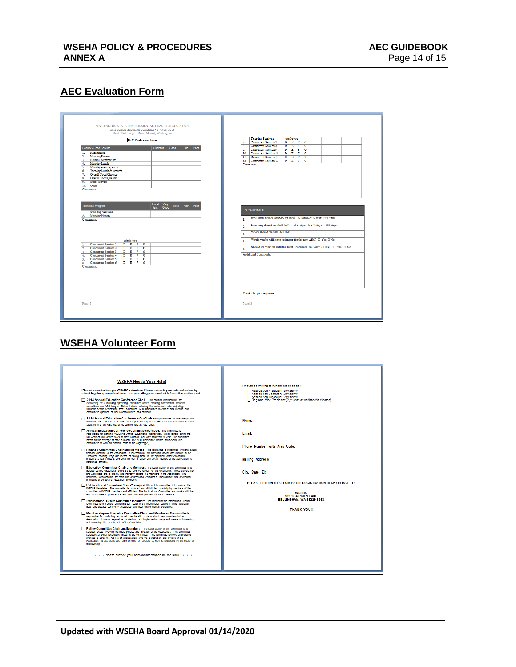## **AEC Evaluation Form**

I

|                                                                         | <b>AEC Evaluation Form</b>                                                                                                                                                                                                                                                                                                                                                                              | <b>Tuesday Sessions</b><br>(circle one)<br>$D$ $E$ $F$ $G$<br>Concurrent Session 7<br>7.                                                                                                                                                                                                                              |
|-------------------------------------------------------------------------|---------------------------------------------------------------------------------------------------------------------------------------------------------------------------------------------------------------------------------------------------------------------------------------------------------------------------------------------------------------------------------------------------------|-----------------------------------------------------------------------------------------------------------------------------------------------------------------------------------------------------------------------------------------------------------------------------------------------------------------------|
| $\overline{2}$<br>4 <sub>1</sub><br>7.<br>8.<br>9.                      | Facility / Food Service<br>Superior<br>Fair<br>Good<br>Poor<br>1. Registration<br>Meeting Rooms<br>3. Breaks / Networking<br>Monday Lunch<br>5. Monday evening social<br>6. Tuesday Lunch & Awards<br>Overall Food Choices<br>Overall Food Ouality<br>Staff / Service<br>10. Other<br>Comments:                                                                                                         | Concurrent Session 8<br>$D$ $E$ $F$<br>$\overline{G}$<br>$\overline{\mathbf{R}}$<br>D E F G<br>$\bullet$<br>Concurrent Session 9<br>$D$ $E$ $F$ $G$<br>10. Concurrent Session 10<br>11. Concurrent Session 11<br>D E F G<br>12 Concurrent Session 12<br>$D$ $E$ $F$ $G$<br>Comments:                                  |
| -1<br>2.<br>$\overline{\mathbf{3}}$<br>5.<br>$\overline{6}$<br>Page   1 | Excel<br>Very<br><b>Technical Program</b><br>Good Fair Poor<br>lent<br>Good<br><b>Monday Sessions</b><br>A. Monday Plenary<br>Comments:<br>(circle one)<br>Concurrent Session 1<br>$D$ $E$ $F$ $G$<br>Concurrent Session 2 D E F<br>$\overline{G}$<br>Concurrent Session 3 D E<br>$F$ G<br>4. Concurrent Session 4 D E F G<br>Concurrent Session 5 D E F G<br>Concurrent Session 6 D E F G<br>Comments: | For the next AEC<br>How often should the AEC be held? [ ] annually [ ] every two years<br>1.<br>$\overline{2}$<br>Where should the next AEC be?<br>3.<br>Would you be willing to volunteer for the next AEC? $\Box$ Yes $\Box$ No<br>4.<br>3.<br><b>Additional Comments:</b><br>Thanks for your response.<br>Page   2 |

## **WSEHA Volunteer Form**

|--|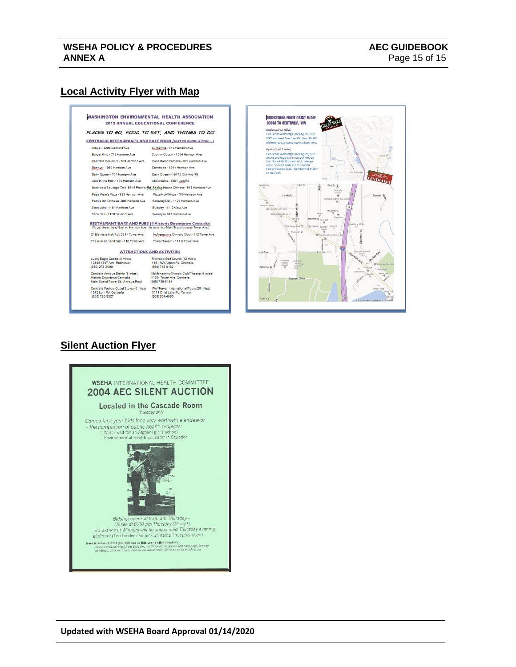## **Local Activity Flyer with Map**

I

#### **WASHINGTON ENVIRONMENTAL HEALTH ASSOCIATION 2013 ANNUAL EDUCATIONAL CONFERENCE** PLACES TO GO. FOOD TO EAT. AND THINGS TO DO **CENTRALIA RESTAURANTS AND FAST FOOD (just to name a few....)** Arby's - 1206 Belmont Ave Burgerville - 818 Harrison Ave Burger King - 713 Harrison Ave Country Cousin - 1054 Harrison Ave Centralia Deli/BBQ - 708 Harrison Ave Casa Ramos/Azteca - 929 Harrison Ave Rennue - 1052 Harrison Ave Dominoes - 1241 Harrison Ave Dairy Queen - 701 Harrison Ave Dairy Queen - 19715 Old Hwy 99 Jack In the Box-1130 Harrison Ave McDonalds - 1201 Lum Rd Northwest Sausage/Deli-5945 Prather Rd. Reking House Chinese - 513 Harrison Ave Papa Pete's Pizza - 933 Harrison Ave Pizza Hut/Wings - 705 Harrison Ave Panda Inn Chinese - 806 Harrison Ave Safeway Deli - 1129 Harrison Ave Starbucks - 1161 Harrison Ave Subway - 1112 View Ave Taco Bell - 1120 Belmont Ave Wendy's - 817 Harrison Ave **RESTAURANT BARS AND PUBS (@Historic Downtown Centralia)**<br>(To get there...head East on Harrison Ave, this turns into Main St and crosses Tower Ave.) O' Blameys Irish Pub 221 - Tower Ave MoMenamins Olympic Club - 112 Tower Ave The Hub Bar and Grill - 110 Tower Ave Tower Tavem - 114 S Tower Ave **ATTRACTIONS AND ACTIVITIES** Lucky Eagle Casino (8 miles) Riverside Golf Course (12 miles)<br>12888 188<sup>th</sup> Ave, Rochester 1451 NW Airport Rd, Chehalis<br>(360) 273-2000 (360) 748-8182 Centralia Antique District (6 miles) McMenamins Olympic Club/Theater (6 miles)<br>Historic Downtown Centralia 112 N Tower Ave, Centralia<br>Main St and Tower St. (Antique Row) (360) 736-5164 Centralia Factory Outlet Stores (5 miles) Wolf Haven International/Tours (20 miles)<br>1342 Lum Rd, Centralia 3111 Offut Lake Rd, Tenino<br>(360) 736-3327



## **Silent Auction Flyer**